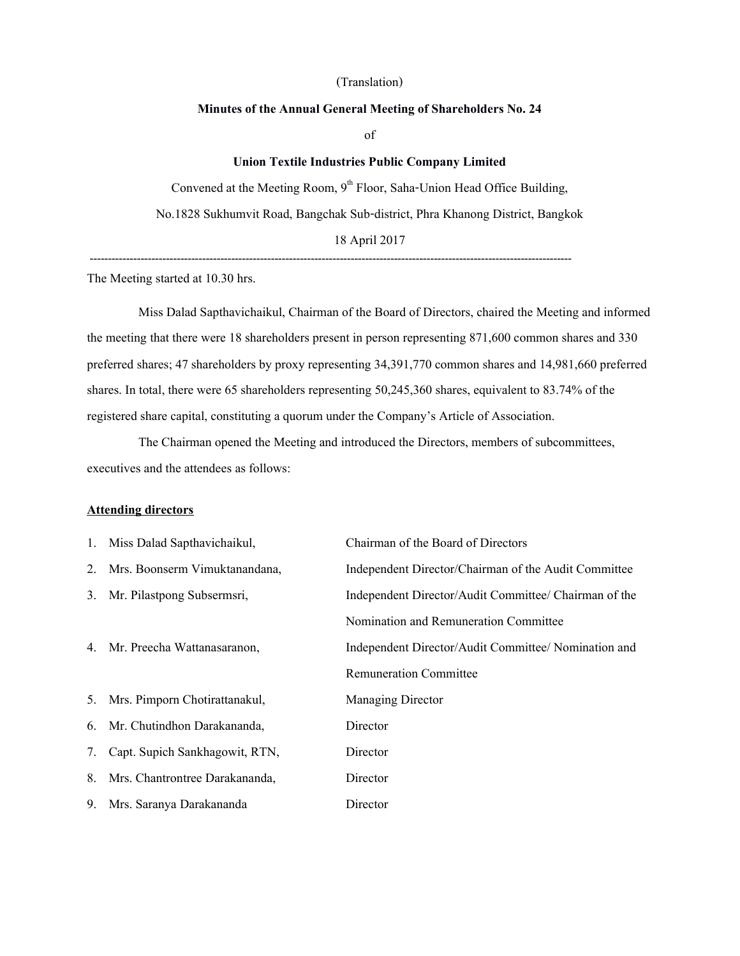### (Translation)

### **Minutes of the Annual General Meeting of Shareholders No. 24**

of

## **Union Textile Industries Public Company Limited**

Convened at the Meeting Room,  $9<sup>th</sup>$  Floor, Saha-Union Head Office Building, No.1828 Sukhumvit Road, Bangchak Sub-district, Phra Khanong District, Bangkok 18 April 2017

-------------------------------------------------------------------------------------------------------------------------------------

The Meeting started at 10.30 hrs.

Miss Dalad Sapthavichaikul, Chairman of the Board of Directors, chaired the Meeting and informed the meeting that there were 18 shareholders present in person representing 871,600 common shares and 330 preferred shares; 47 shareholders by proxy representing 34,391,770 common shares and 14,981,660 preferred shares. In total, there were 65 shareholders representing 50,245,360 shares, equivalent to 83.74% of the registered share capital, constituting a quorum under the Company's Article of Association.

The Chairman opened the Meeting and introduced the Directors, members of subcommittees, executives and the attendees as follows:

#### **Attending directors**

| 1. Miss Dalad Sapthavichaikul,    | Chairman of the Board of Directors                    |
|-----------------------------------|-------------------------------------------------------|
| 2. Mrs. Boonserm Vimuktanandana,  | Independent Director/Chairman of the Audit Committee  |
| 3. Mr. Pilastpong Subsermsri,     | Independent Director/Audit Committee/ Chairman of the |
|                                   | Nomination and Remuneration Committee                 |
| 4. Mr. Preecha Wattanasaranon,    | Independent Director/Audit Committee/ Nomination and  |
|                                   | <b>Remuneration Committee</b>                         |
| 5. Mrs. Pimporn Chotirattanakul,  | <b>Managing Director</b>                              |
| 6. Mr. Chutindhon Darakananda,    | Director                                              |
| 7. Capt. Supich Sankhagowit, RTN, | Director                                              |
| 8. Mrs. Chantrontree Darakananda, | Director                                              |
| 9. Mrs. Saranya Darakananda       | Director                                              |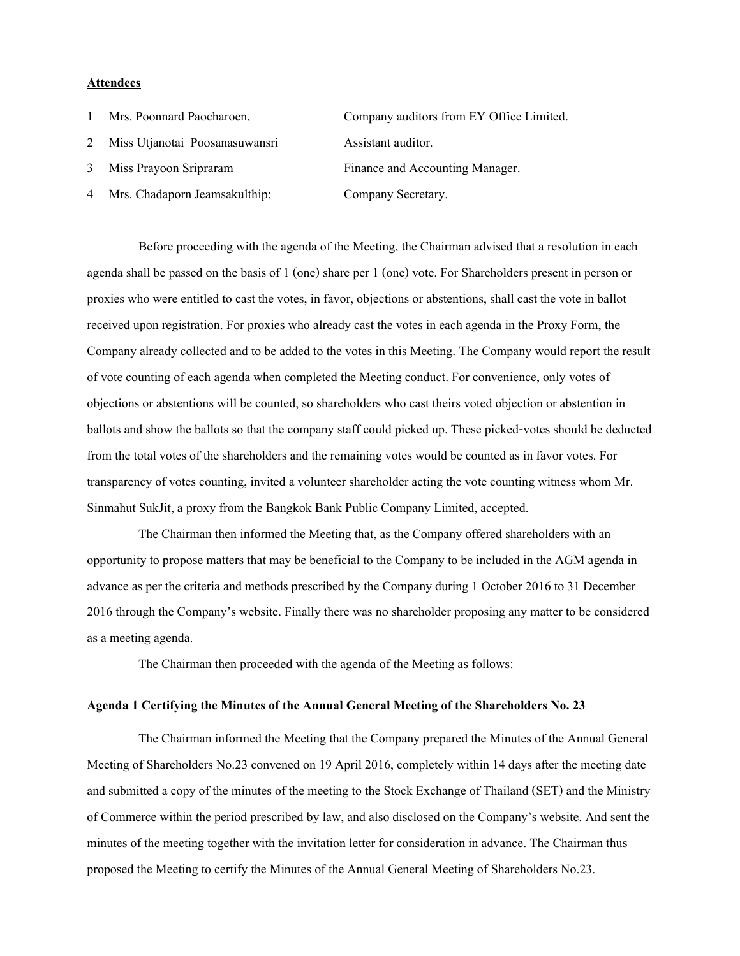## **Attendees**

| $\mathbf{1}$ | Mrs. Poonnard Paocharoen,       | Company auditors from EY Office Limited. |
|--------------|---------------------------------|------------------------------------------|
| 2            | Miss Utjanotai Poosanasuwansri  | Assistant auditor.                       |
| 3            | Miss Prayoon Sripraram          | Finance and Accounting Manager.          |
|              | 4 Mrs. Chadaporn Jeamsakulthip: | Company Secretary.                       |
|              |                                 |                                          |

Before proceeding with the agenda of the Meeting, the Chairman advised that a resolution in each agenda shall be passed on the basis of 1 (one) share per 1 (one) vote. For Shareholders present in person or proxies who were entitled to cast the votes, in favor, objections or abstentions, shall cast the vote in ballot received upon registration. For proxies who already cast the votes in each agenda in the Proxy Form, the Company already collected and to be added to the votes in this Meeting. The Company would report the result of vote counting of each agenda when completed the Meeting conduct. For convenience, only votes of objections or abstentions will be counted, so shareholders who cast theirs voted objection or abstention in ballots and show the ballots so that the company staff could picked up. These picked-votes should be deducted from the total votes of the shareholders and the remaining votes would be counted as in favor votes. For transparency of votes counting, invited a volunteer shareholder acting the vote counting witness whom Mr. Sinmahut SukJit, a proxy from the Bangkok Bank Public Company Limited, accepted.

The Chairman then informed the Meeting that, as the Company offered shareholders with an opportunity to propose matters that may be beneficial to the Company to be included in the AGM agenda in advance as per the criteria and methods prescribed by the Company during 1 October 2016 to 31 December 2016 through the Company's website. Finally there was no shareholder proposing any matter to be considered as a meeting agenda.

The Chairman then proceeded with the agenda of the Meeting as follows:

### **Agenda 1 Certifying the Minutes of the Annual General Meeting of the Shareholders No. 23**

The Chairman informed the Meeting that the Company prepared the Minutes of the Annual General Meeting of Shareholders No.23 convened on 19 April 2016, completely within 14 days after the meeting date and submitted a copy of the minutes of the meeting to the Stock Exchange of Thailand (SET) and the Ministry of Commerce within the period prescribed by law, and also disclosed on the Company's website. And sent the minutes of the meeting together with the invitation letter for consideration in advance. The Chairman thus proposed the Meeting to certify the Minutes of the Annual General Meeting of Shareholders No.23.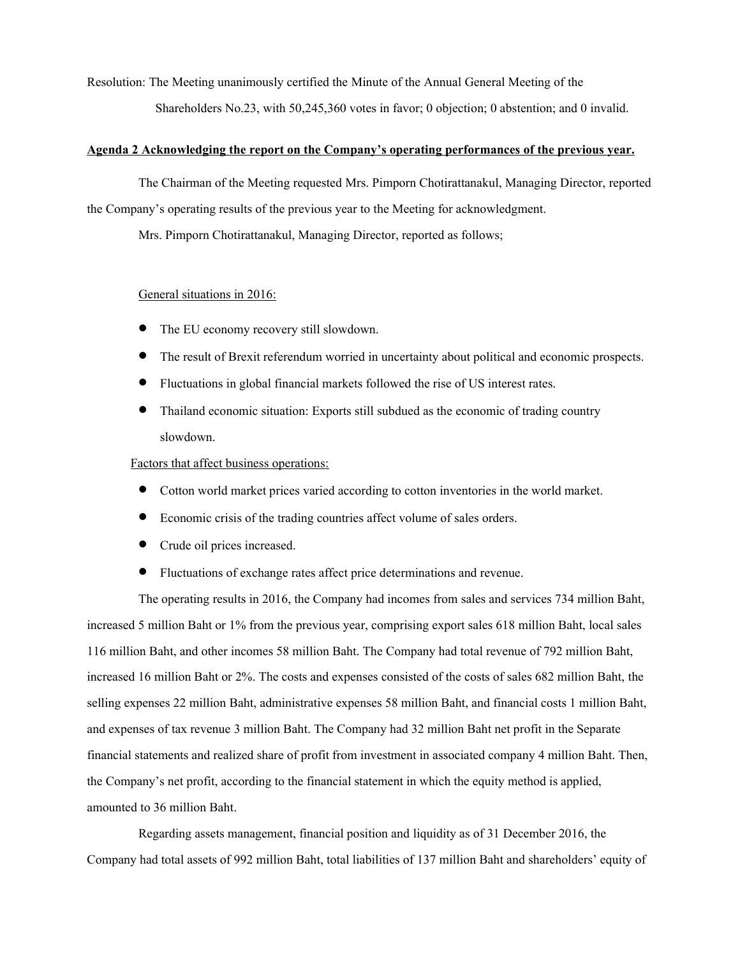Resolution: The Meeting unanimously certified the Minute of the Annual General Meeting of the Shareholders No.23, with 50,245,360 votes in favor; 0 objection; 0 abstention; and 0 invalid.

## **Agenda 2 Acknowledging the report on the Company's operating performances of the previous year.**

The Chairman of the Meeting requested Mrs. Pimporn Chotirattanakul, Managing Director, reported the Company's operating results of the previous year to the Meeting for acknowledgment.

Mrs. Pimporn Chotirattanakul, Managing Director, reported as follows;

## General situations in 2016:

- The EU economy recovery still slowdown.
- The result of Brexit referendum worried in uncertainty about political and economic prospects.
- Fluctuations in global financial markets followed the rise of US interest rates.
- Thailand economic situation: Exports still subdued as the economic of trading country slowdown.

## Factors that affect business operations:

- Cotton world market prices varied according to cotton inventories in the world market.
- Economic crisis of the trading countries affect volume of sales orders.
- Crude oil prices increased.
- Fluctuations of exchange rates affect price determinations and revenue.

The operating results in 2016, the Company had incomes from sales and services 734 million Baht, increased 5 million Baht or 1% from the previous year, comprising export sales 618 million Baht, local sales 116 million Baht, and other incomes 58 million Baht. The Company had total revenue of 792 million Baht, increased 16 million Baht or 2%. The costs and expenses consisted of the costs of sales 682 million Baht, the selling expenses 22 million Baht, administrative expenses 58 million Baht, and financial costs 1 million Baht, and expenses of tax revenue 3 million Baht. The Company had 32 million Baht net profit in the Separate financial statements and realized share of profit from investment in associated company 4 million Baht. Then, the Company's net profit, according to the financial statement in which the equity method is applied, amounted to 36 million Baht.

Regarding assets management, financial position and liquidity as of 31 December 2016, the Company had total assets of 992 million Baht, total liabilities of 137 million Baht and shareholders' equity of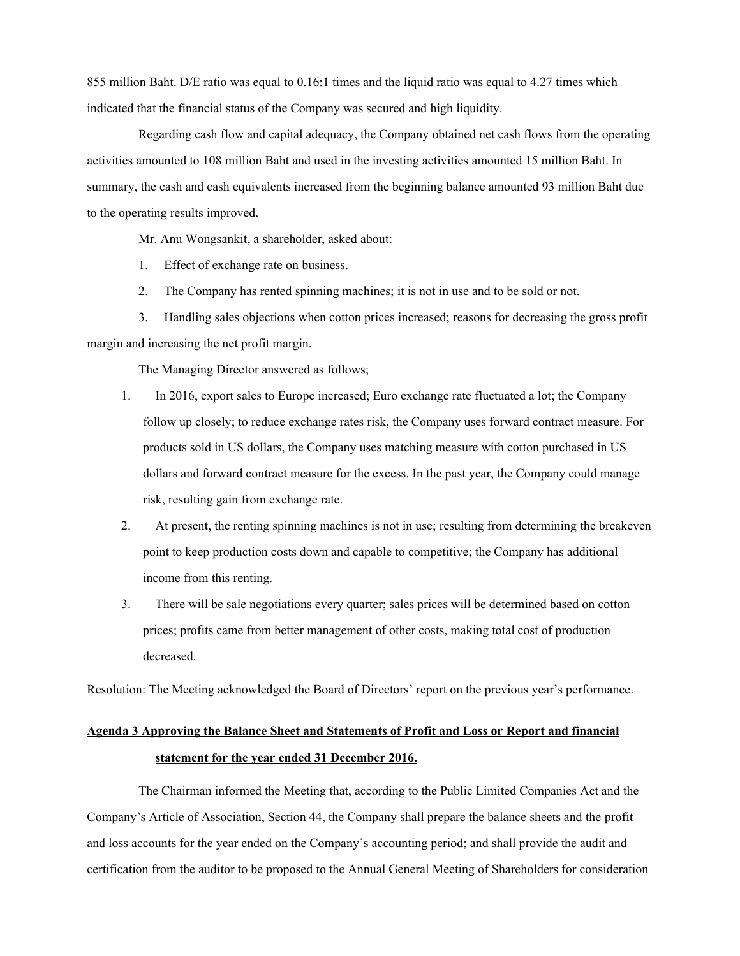855 million Baht. D/E ratio was equal to 0.16:1 times and the liquid ratio was equal to 4.27 times which indicated that the financial status of the Company was secured and high liquidity.

Regarding cash flow and capital adequacy, the Company obtained net cash flows from the operating activities amounted to 108 million Baht and used in the investing activities amounted 15 million Baht. In summary, the cash and cash equivalents increased from the beginning balance amounted 93 million Baht due to the operating results improved.

Mr. Anu Wongsankit, a shareholder, asked about:

- 1. Effect of exchange rate on business.
- 2. The Company has rented spinning machines; it is not in use and to be sold or not.

3. Handling sales objections when cotton prices increased; reasons fordecreasing the gross profit margin and increasing the net profit margin.

The Managing Director answered as follows;

- 1. In 2016, export sales to Europe increased; Euro exchange rate fluctuated a lot; the Company follow up closely; to reduce exchange rates risk, the Company uses forward contract measure. For products sold in US dollars, the Company uses matching measure with cotton purchased in US dollars and forward contract measure for the excess. In the past year, the Company could manage risk, resulting gain from exchange rate.
- 2. At present, the renting spinning machines is not in use; resulting from determining the breakeven point to keep production costs down and capable to competitive; the Company has additional income from this renting.
- 3. There will be sale negotiations every quarter; sales prices will be determined based on cotton prices; profits came from better management of other costs, making total cost of production decreased.

Resolution: The Meeting acknowledged the Board of Directors' report on the previous year's performance.

# **Agenda 3 Approving the Balance Sheet and Statements of Profit and Loss or Report and financial statement for the year ended 31 December 2016.**

The Chairman informed the Meeting that, according to the Public Limited Companies Act and the Company's Article of Association, Section 44, the Company shall prepare the balance sheets and the profit and loss accounts for the year ended on the Company's accounting period; and shall provide the audit and certification from the auditor to be proposed to the Annual General Meeting of Shareholders for consideration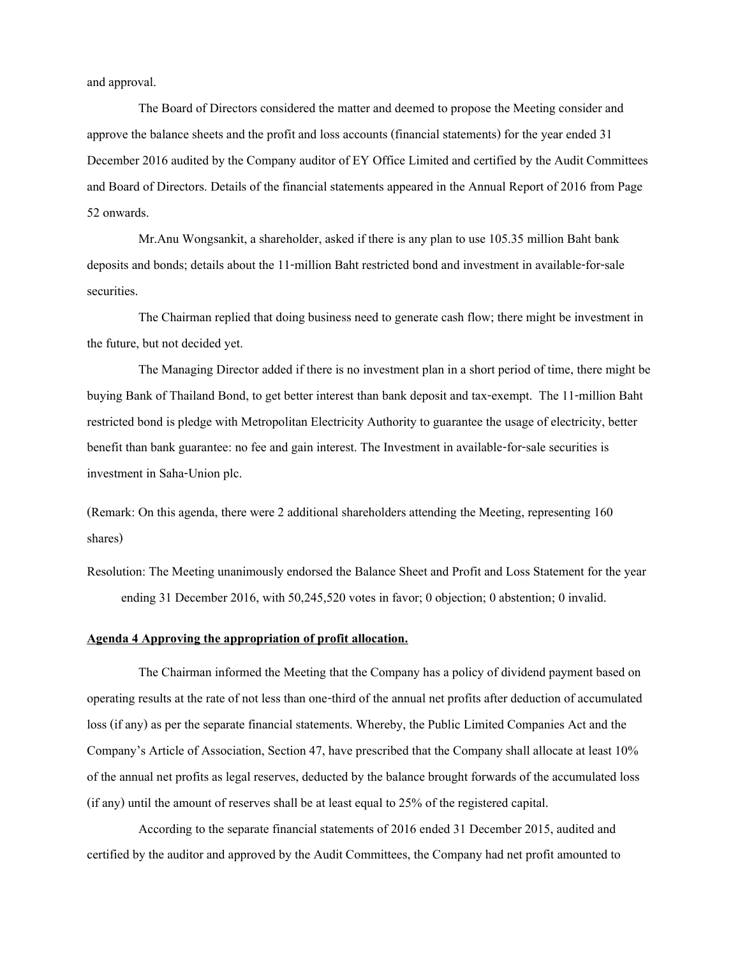and approval.

The Board of Directors considered the matter and deemed to propose the Meeting consider and approve the balance sheets and the profit and loss accounts (financial statements) for the year ended 31 December 2016 audited by the Company auditor of EY Office Limited and certified by the Audit Committees and Board of Directors. Details of the financial statements appeared in the Annual Report of 2016 from Page 52 onwards.

Mr.Anu Wongsankit, a shareholder, asked if there is any plan to use 105.35 million Baht bank deposits and bonds;details about the 11-million Baht restricted bond and investment in available-for-sale securities.

The Chairman replied that doing business need to generate cash flow; there might be investment in the future, but not decided yet.

The Managing Director added if there is no investment plan in a short period of time, there might be buying Bank of Thailand Bond, toget better interest than bank deposit and tax-exempt. The 11-million Baht restricted bond is pledge with Metropolitan Electricity Authority to guarantee the usage of electricity, better benefit than bank guarantee: no fee and gain interest. The Investment in available-for-sale securities is investment in Saha-Union plc.

(Remark: On this agenda, there were 2 additional shareholders attending the Meeting, representing 160 shares)

Resolution: The Meeting unanimously endorsed the Balance Sheet and Profit and Loss Statement for the year ending 31 December 2016, with 50,245,520 votes in favor; 0 objection; 0 abstention; 0 invalid.

### **Agenda 4 Approving the appropriation of profit allocation.**

The Chairman informed the Meeting that the Company has a policy of dividend payment based on operating results at the rate of not less than one-third of the annual net profits after deduction of accumulated loss (if any) as per the separate financial statements. Whereby, the Public Limited Companies Act and the Company's Article of Association, Section 47, have prescribed that the Company shall allocate at least 10% of the annual net profits as legal reserves, deducted by the balance brought forwards of the accumulated loss (if any) until the amount of reserves shall be at least equal to 25% of the registered capital.

According to the separate financial statements of 2016 ended 31 December 2015, audited and certified by the auditor and approved by the Audit Committees, the Company had net profit amounted to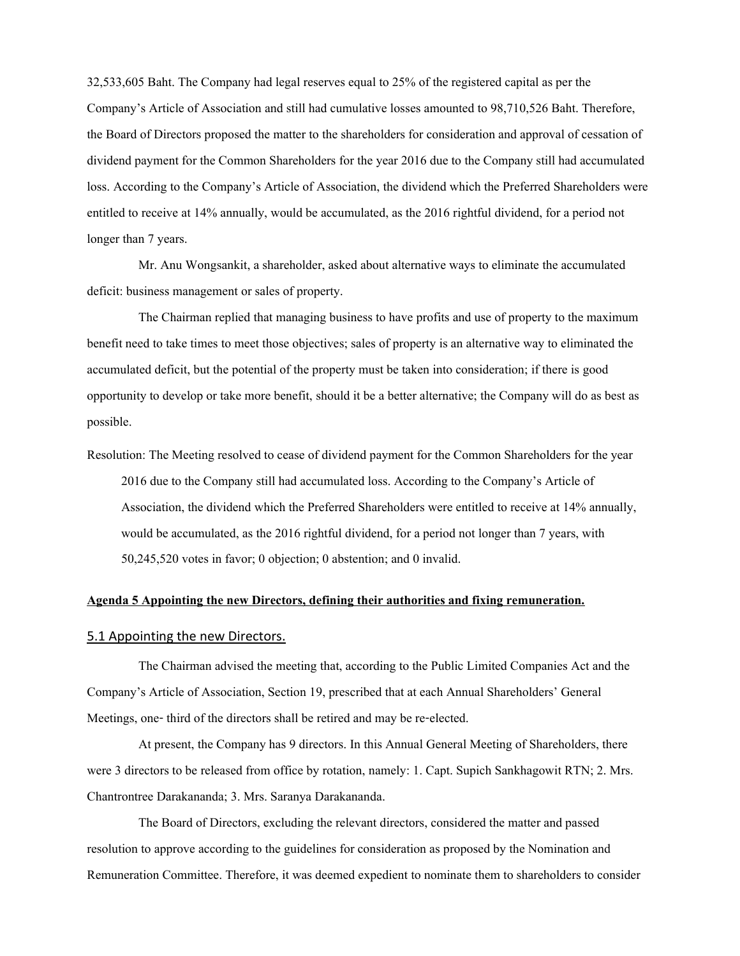32,533,605 Baht. The Company had legal reserves equal to 25% of the registered capital as per the Company's Article of Association and still had cumulative losses amounted to 98,710,526 Baht. Therefore, the Board of Directors proposed the matter to the shareholders for consideration and approval of cessation of dividend payment for the Common Shareholders for the year 2016 due to the Company still had accumulated loss. According to the Company's Article of Association, the dividend which the Preferred Shareholders were entitled to receive at 14% annually, would be accumulated, as the 2016 rightful dividend, for a period not longer than 7 years.

Mr. Anu Wongsankit, a shareholder, asked about alternative ways to eliminate the accumulated deficit: business management or sales of property.

The Chairman replied that managing business to have profits and use of property to the maximum benefit need to take times to meet those objectives; sales of property is an alternative way to eliminated the accumulated deficit, but the potential of the property must be taken into consideration; if there is good opportunity to develop or take more benefit, should it be a better alternative; the Company will do as best as possible.

Resolution: The Meeting resolved to cease of dividend payment for the Common Shareholders for the year 2016 due to the Company still had accumulated loss. According to the Company's Article of Association, the dividend which the Preferred Shareholders were entitled to receive at 14% annually, would be accumulated, as the 2016 rightful dividend, for a period not longer than 7 years, with 50,245,520 votes in favor; 0 objection; 0 abstention; and 0 invalid.

## **Agenda 5 Appointing the new Directors, defining their authorities and fixing remuneration.**

### 5.1 Appointing the new Directors.

The Chairman advised the meeting that, according to the Public Limited Companies Act and the Company's Article of Association, Section 19, prescribed that at each Annual Shareholders' General Meetings, one- third of the directors shall be retired and may be re-elected.

At present, the Company has 9 directors. In this Annual General Meeting of Shareholders, there were 3 directors to be released from office by rotation, namely: 1. Capt. Supich Sankhagowit RTN; 2. Mrs. Chantrontree Darakananda; 3. Mrs. Saranya Darakananda.

The Board of Directors, excluding the relevant directors, considered the matter and passed resolution to approve according to the guidelines for consideration as proposed by the Nomination and Remuneration Committee. Therefore, it was deemed expedient to nominate them to shareholders to consider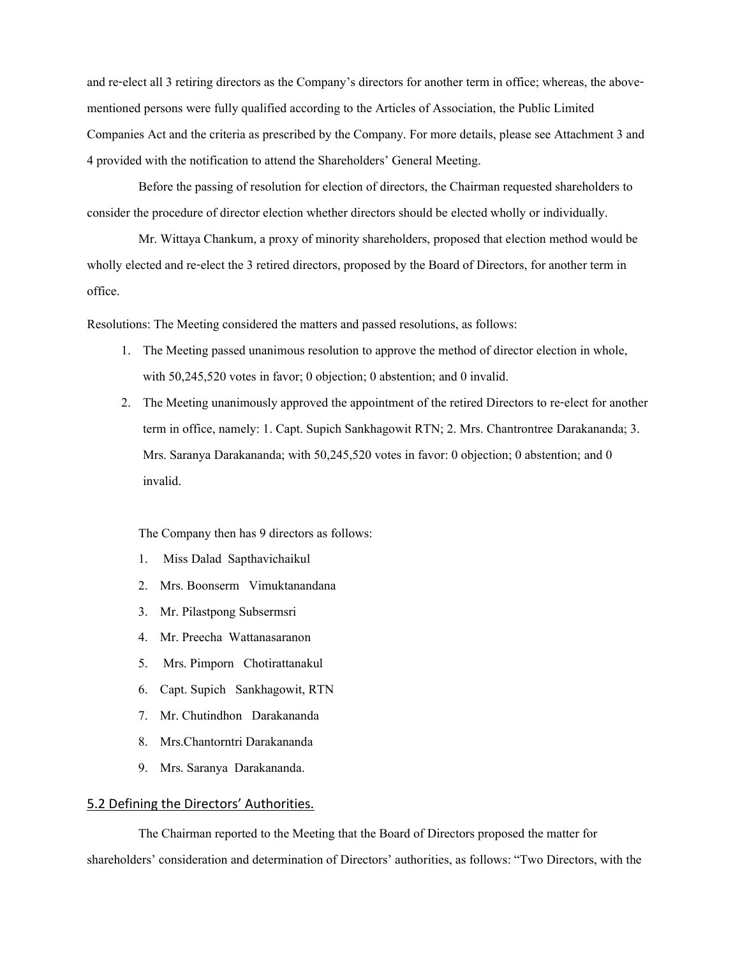and re-elect all 3 retiring directors as the Company's directors for another term in office; whereas, the abovementioned persons were fully qualified according to the Articles of Association, the Public Limited Companies Act and the criteria as prescribed by the Company. For more details, please see Attachment 3 and 4 provided with the notification to attend the Shareholders' General Meeting.

Before the passing of resolution for election of directors, the Chairman requested shareholders to consider the procedure of director election whether directors should be elected wholly or individually.

Mr. Wittaya Chankum, a proxy of minority shareholders, proposed that election method would be wholly elected and re-elect the 3 retired directors, proposed by the Board of Directors, for another term in office.

Resolutions: The Meeting considered the matters and passed resolutions, as follows:

- 1. The Meeting passed unanimous resolution to approve the method of director election in whole, with 50,245,520 votes in favor; 0 objection; 0 abstention; and 0 invalid.
- 2. The Meeting unanimously approved the appointment of the retired Directors to re-elect for another term in office, namely: 1. Capt. Supich Sankhagowit RTN; 2. Mrs. Chantrontree Darakananda; 3. Mrs. Saranya Darakananda; with 50,245,520 votes in favor: 0 objection; 0 abstention; and 0 invalid.

## The Company then has 9 directors as follows:

- 1. Miss Dalad Sapthavichaikul
- 2. Mrs. Boonserm Vimuktanandana
- 3. Mr. Pilastpong Subsermsri
- 4. Mr. Preecha Wattanasaranon
- 5. Mrs. Pimporn Chotirattanakul
- 6. Capt. Supich Sankhagowit, RTN
- 7. Mr. Chutindhon Darakananda
- 8. Mrs.Chantorntri Darakananda
- 9. Mrs. Saranya Darakananda.

## 5.2 Defining the Directors' Authorities.

The Chairman reported to the Meeting that the Board of Directors proposed the matter for shareholders' consideration and determination of Directors' authorities, as follows: "Two Directors, with the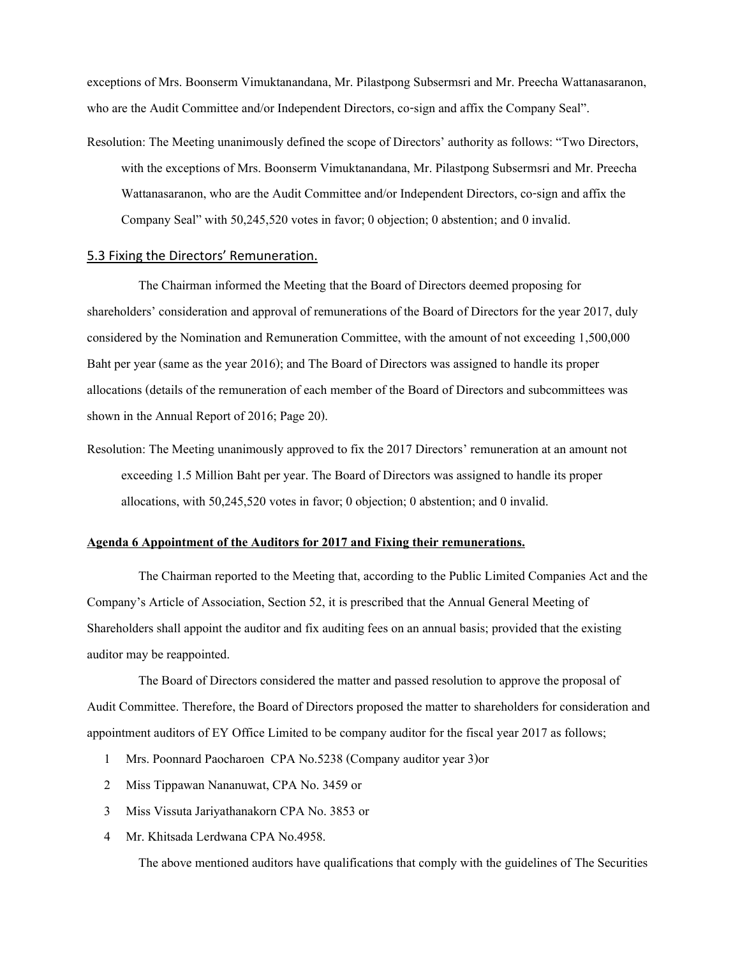exceptions of Mrs. Boonserm Vimuktanandana, Mr. Pilastpong Subsermsri and Mr. Preecha Wattanasaranon, who are the Audit Committee and/or Independent Directors, co-sign and affix the Company Seal".

Resolution: The Meeting unanimously defined the scope of Directors' authority as follows: "Two Directors, with the exceptions of Mrs. Boonserm Vimuktanandana, Mr. Pilastpong Subsermsri and Mr. Preecha Wattanasaranon, who are the Audit Committee and/or Independent Directors, co-sign and affix the Company Seal" with 50,245,520 votes in favor; 0 objection; 0 abstention; and 0 invalid.

### 5.3 Fixing the Directors' Remuneration.

The Chairman informed the Meeting that the Board of Directors deemed proposing for shareholders' consideration and approval of remunerations of the Board of Directors for the year 2017, duly considered by the Nomination and Remuneration Committee, with the amount of not exceeding 1,500,000 Baht per year (same as the year 2016); and The Board of Directors was assigned to handle its proper allocations (details of the remuneration of each member of the Board of Directors and subcommittees was shown in the Annual Report of 2016; Page 20).

Resolution: The Meeting unanimously approved to fix the 2017 Directors' remuneration at an amount not exceeding 1.5 Million Baht per year. The Board of Directors was assigned to handle its proper allocations, with 50,245,520 votes in favor; 0 objection; 0 abstention; and 0 invalid.

## **Agenda 6 Appointment of the Auditors for 2017 and Fixing their remunerations.**

The Chairman reported to the Meeting that, according to the Public Limited Companies Act and the Company's Article of Association, Section 52, it is prescribed that the Annual General Meeting of Shareholders shall appoint the auditor and fix auditing fees on an annual basis; provided that the existing auditor may be reappointed.

The Board of Directors considered the matter and passed resolution to approve the proposal of Audit Committee. Therefore, the Board of Directors proposed the matter to shareholders for consideration and appointment auditors of EY Office Limited to be company auditor for the fiscal year 2017 as follows;

- 1 Mrs. Poonnard Paocharoen CPA No.5238 (Company auditor year 3)or
- 2 Miss Tippawan Nananuwat, CPA No. 3459 or
- 3 Miss Vissuta Jariyathanakorn CPA No. 3853 or
- 4 Mr. Khitsada Lerdwana CPA No.4958.

The above mentioned auditors have qualifications that comply with the guidelines of The Securities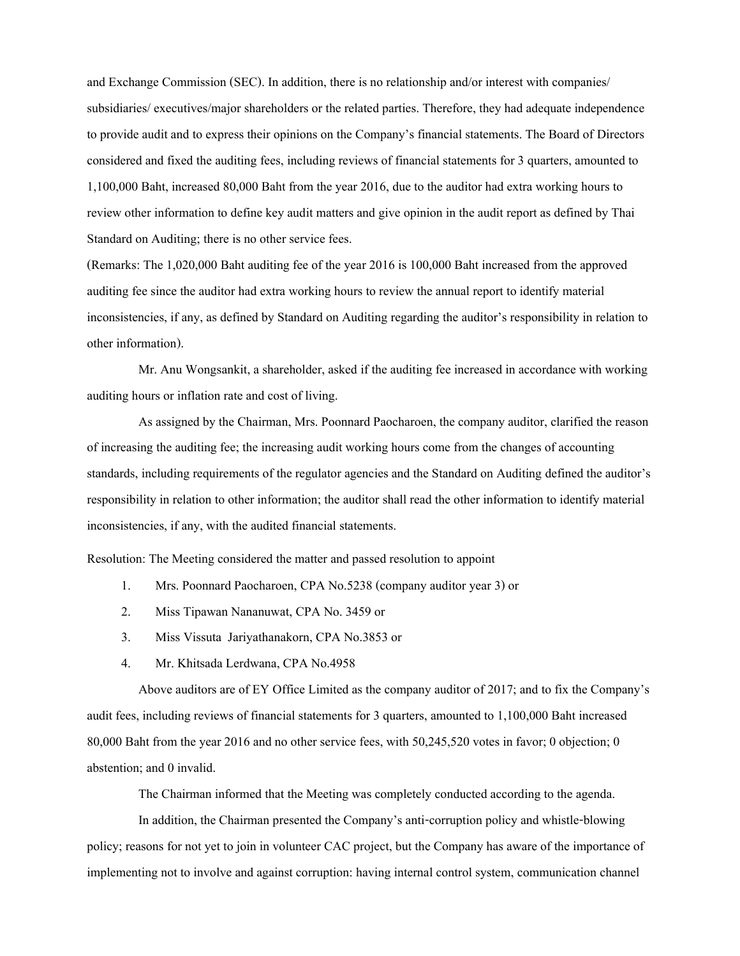and Exchange Commission (SEC). In addition, there is no relationship and/or interest with companies/ subsidiaries/ executives/major shareholders or the related parties. Therefore, they had adequate independence to provide audit and to express their opinions on the Company's financial statements. The Board of Directors considered and fixed the auditing fees, including reviews of financial statements for 3 quarters, amounted to 1,100,000 Baht, increased 80,000 Baht from the year 2016, due to the auditor had extra working hours to review other information to define key audit matters and give opinion in the audit report as defined by Thai Standard on Auditing; there is no other service fees.

(Remarks: The 1,020,000 Baht auditing fee of the year 2016 is 100,000 Baht increased from the approved auditing fee since the auditor had extra working hours to review the annual report to identify material inconsistencies, if any, as defined by Standard on Auditing regarding the auditor's responsibility in relation to other information).

Mr. Anu Wongsankit, a shareholder, asked if the auditing fee increased in accordance with working auditing hours or inflation rate and cost of living.

As assigned by the Chairman, Mrs. Poonnard Paocharoen, the company auditor, clarified the reason of increasing the auditing fee; the increasing audit working hours come from the changes of accounting standards, including requirements of the regulator agencies and the Standard on Auditing defined the auditor's responsibility in relation to other information; the auditor shall read the other information to identify material inconsistencies, if any, with the audited financial statements.

Resolution: The Meeting considered the matter and passed resolution to appoint

- 1. Mrs. Poonnard Paocharoen, CPA No.5238 (company auditor year 3) or
- 2. Miss Tipawan Nananuwat, CPA No. 3459 or
- 3. Miss Vissuta Jariyathanakorn, CPA No.3853 or
- 4. Mr. Khitsada Lerdwana, CPA No.4958

Above auditors are of EY Office Limited as the company auditor of 2017; and to fix the Company's audit fees, including reviews of financial statements for 3 quarters, amounted to 1,100,000 Baht increased 80,000 Baht from the year 2016 and no other service fees, with 50,245,520 votes in favor; 0 objection; 0 abstention; and 0 invalid.

The Chairman informed that the Meeting was completely conducted according to the agenda.

In addition, the Chairman presented the Company's anti-corruption policy and whistle-blowing policy; reasons for not yet to join in volunteer CAC project, but the Company has aware of the importance of implementing not to involve and against corruption: having internal control system, communication channel